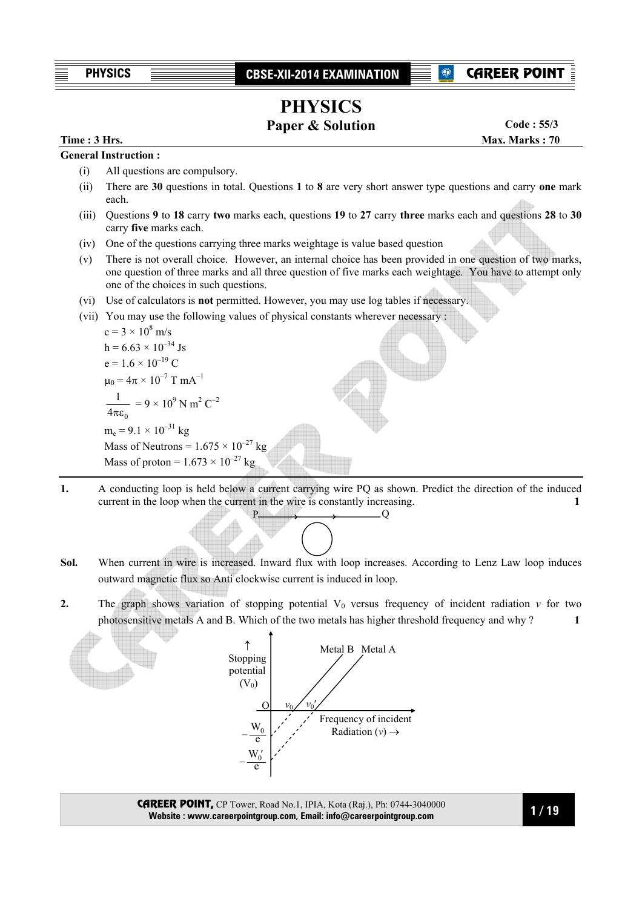# **PHYSICS**

**Paper & Solution** 

**Time : 3 Hrs.** Max. Marks : 70 **Code : 55/3**

### **General Instruction :**

- (i) All questions are compulsory.
- (ii) There are **30** questions in total. Questions **1** to **8** are very short answer type questions and carry **one** mark each.
- (iii) Questions **9** to **18** carry **two** marks each, questions **19** to **27** carry **three** marks each and questions **28** to **30** carry **five** marks each.
- (iv) One of the questions carrying three marks weightage is value based question
- (v) There is not overall choice. However, an internal choice has been provided in one question of two marks, one question of three marks and all three question of five marks each weightage. You have to attempt only one of the choices in such questions.
- (vi) Use of calculators is **not** permitted. However, you may use log tables if necessary.
- (vii) You may use the following values of physical constants wherever necessary :

 $10^{-27}$  kg

c = 3 × 10<sup>8</sup> m/s  
\nh = 6.63 × 10<sup>-34</sup>Js  
\ne = 1.6 × 10<sup>-19</sup> C  
\n
$$
\mu_0 = 4\pi × 10^{-7}
$$
 T mA<sup>-1</sup>  
\n $\frac{1}{4\pi\epsilon_0} = 9 × 10^9$  N m<sup>2</sup> C<sup>-2</sup>  
\nm<sub>e</sub> = 9.1 × 10<sup>-31</sup> kg  
\nMass of Neutrons = 1.675 × 10<sup>-27</sup>  
\nMass of proton = 1.673 × 10<sup>-27</sup> kg

- **1.** A conducting loop is held below a current carrying wire PQ as shown. Predict the direction of the induced current in the loop when the current in the wire is constantly increasing.  $P \longrightarrow Q$
- **Sol.** When current in wire is increased. Inward flux with loop increases. According to Lenz Law loop induces outward magnetic flux so Anti clockwise current is induced in loop.
- **2.** The graph shows variation of stopping potential  $V_0$  versus frequency of incident radiation  $v$  for two photosensitive metals A and B. Which of the two metals has higher threshold frequency and why ? **1**



CAREER POINT, CP Tower, Road No.1, IPIA, Kota (Raj.), Ph: 0744-3040000 **Website : www.careerpointgroup.com, Email: info@careerpointgroup.com**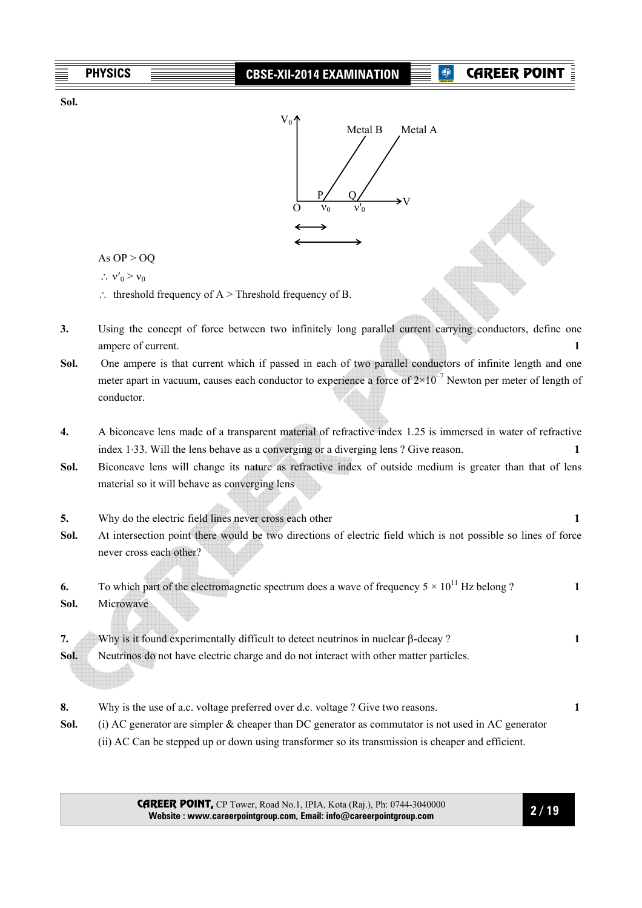

- **8.** Why is the use of a.c. voltage preferred over d.c. voltage ? Give two reasons. **1**
- **Sol.** (i) AC generator are simpler & cheaper than DC generator as commutator is not used in AC generator (ii) AC Can be stepped up or down using transformer so its transmission is cheaper and efficient.

CAREER POINT, CP Tower, Road No.1, IPIA, Kota (Raj.), Ph: 0744-3040000 **Website : www.careerpointgroup.com, Email: info@careerpointgroup.com**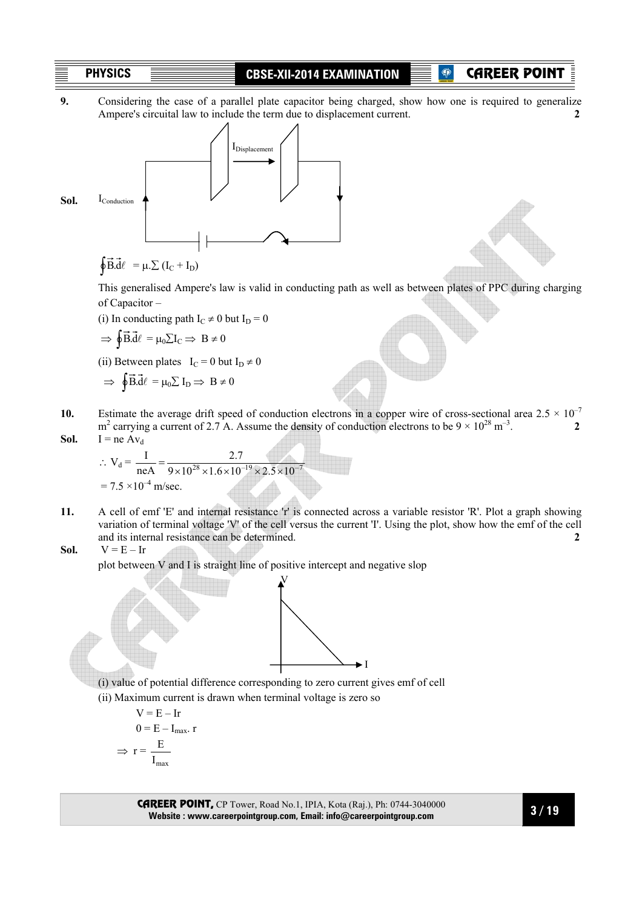CAREER POINT

**9.** Considering the case of a parallel plate capacitor being charged, show how one is required to generalize Ampere's circuital law to include the term due to displacement current. **2** 



# $\oint \vec{B} \cdot d\ell = \mu \cdot \sum (I_C + I_D)$

 This generalised Ampere's law is valid in conducting path as well as between plates of PPC during charging of Capacitor –

(i) In conducting path  $I_C \neq 0$  but  $I_D = 0$ 

$$
\Rightarrow \oint \vec{B} \cdot \vec{d}\ell = \mu_0 \sum I_C \Rightarrow B \neq 0
$$

(ii) Between plates  $I_C = 0$  but  $I_D \neq 0$ 

$$
\Rightarrow \oint \vec{B} \cdot \vec{d} \ell = \mu_0 \sum I_D \Rightarrow B \neq 0
$$

10. Estimate the average drift speed of conduction electrons in a copper wire of cross-sectional area  $2.5 \times 10^{-7}$  $m^2$  carrying a current of 2.7 A. Assume the density of conduction electrons to be  $9 \times 10^{28}$  m<sup>-3</sup>.  $I = ne Av_d$ 

$$
\therefore V_d = \frac{I}{neA} = \frac{2.7}{9 \times 10^{28} \times 1.6 \times 10^{-19} \times 2.5 \times 10^{-7}}
$$
  
= 7.5 × 10<sup>-4</sup> m/sec.

**11.** A cell of emf 'E' and internal resistance 'r' is connected across a variable resistor 'R'. Plot a graph showing variation of terminal voltage 'V' of the cell versus the current 'I'. Using the plot, show how the emf of the cell and its internal resistance can be determined. **2**

**Sol.** 
$$
V = E - Ir
$$

plot between V and I is straight line of positive intercept and negative slop



(i) value of potential difference corresponding to zero current gives emf of cell

(ii) Maximum current is drawn when terminal voltage is zero so

$$
V = E - Ir
$$
  
\n
$$
0 = E - I_{max} \cdot r
$$
  
\n
$$
\Rightarrow r = \frac{E}{I_{max}}
$$

CAREER POINT, CP Tower, Road No.1, IPIA, Kota (Raj.), Ph: 0744-3040000 **Website : www.careerpointgroup.com, Email: info@careerpointgroup.com**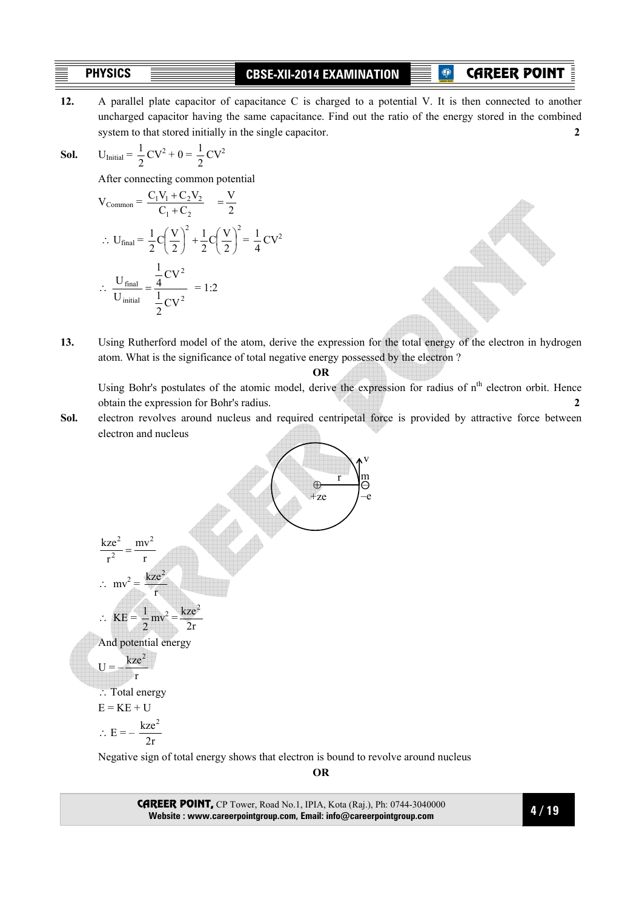CAREER POINT

**12.** A parallel plate capacitor of capacitance C is charged to a potential V. It is then connected to another uncharged capacitor having the same capacitance. Find out the ratio of the energy stored in the combined system to that stored initially in the single capacitor. **2 2** 

**Sol.** 
$$
U_{\text{Initial}} = \frac{1}{2}CV^2 + 0 = \frac{1}{2}CV^2
$$

After connecting common potential

$$
V_{\text{Common}} = \frac{C_1 V_1 + C_2 V_2}{C_1 + C_2} = \frac{V}{2}
$$
  
 
$$
\therefore U_{\text{final}} = \frac{1}{2} C \left(\frac{V}{2}\right)^2 + \frac{1}{2} C \left(\frac{V}{2}\right)^2 = \frac{1}{4} C V^2
$$
  
 
$$
\therefore \frac{U_{\text{final}}}{U_{\text{initial}}} = \frac{\frac{1}{4} C V^2}{\frac{1}{2} C V^2} = 1:2
$$

**13.** Using Rutherford model of the atom, derive the expression for the total energy of the electron in hydrogen atom. What is the significance of total negative energy possessed by the electron ?

**OR** 

Using Bohr's postulates of the atomic model, derive the expression for radius of n<sup>th</sup> electron orbit. Hence obtain the expression for Bohr's radius. **2**

**Sol.** electron revolves around nucleus and required centripetal force is provided by attractive force between electron and nucleus



Negative sign of total energy shows that electron is bound to revolve around nucleus

**OR** 

CAREER POINT, CP Tower, Road No.1, IPIA, Kota (Raj.), Ph: 0744-3040000 **Website : www.careerpointgroup.com, Email: info@careerpointgroup.com**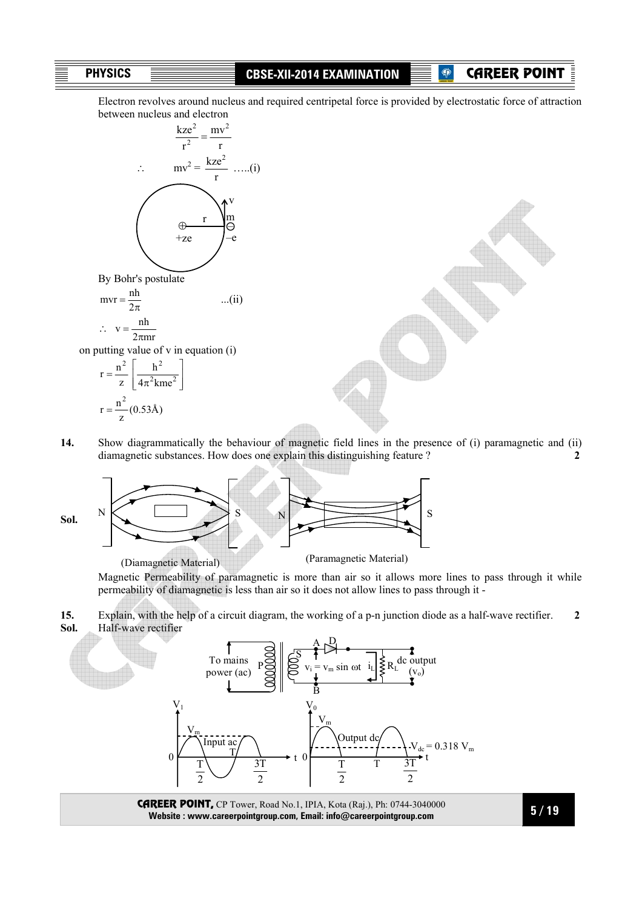**P** CAREER POINT

Electron revolves around nucleus and required centripetal force is provided by electrostatic force of attraction between nucleus and electron



**14.** Show diagrammatically the behaviour of magnetic field lines in the presence of (i) paramagnetic and (ii) diamagnetic substances. How does one explain this distinguishing feature ? **2**



 Magnetic Permeability of paramagnetic is more than air so it allows more lines to pass through it while permeability of diamagnetic is less than air so it does not allow lines to pass through it -

**15.** Explain, with the help of a circuit diagram, the working of a p-n junction diode as a half-wave rectifier. **2 Sol.** Half-wave rectifier



**Website : www.careerpointgroup.com, Email: info@careerpointgroup.com**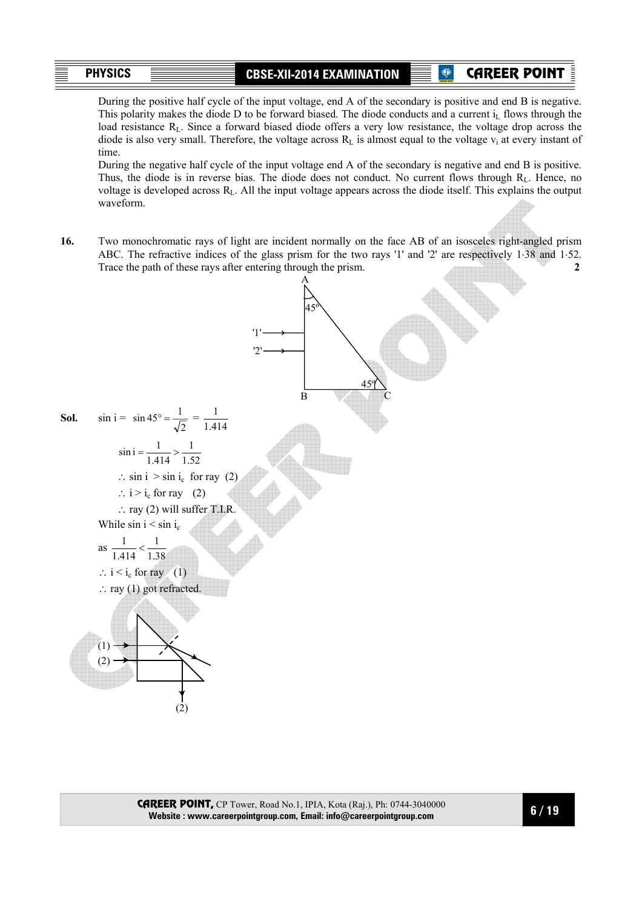CAREER POINT

 During the positive half cycle of the input voltage, end A of the secondary is positive and end B is negative. This polarity makes the diode D to be forward biased. The diode conducts and a current  $i<sub>1</sub>$  flows through the load resistance R<sub>L</sub>. Since a forward biased diode offers a very low resistance, the voltage drop across the diode is also very small. Therefore, the voltage across  $R_L$  is almost equal to the voltage  $v_i$  at every instant of time.

 During the negative half cycle of the input voltage end A of the secondary is negative and end B is positive. Thus, the diode is in reverse bias. The diode does not conduct. No current flows through  $R_L$ . Hence, no voltage is developed across  $R_L$ . All the input voltage appears across the diode itself. This explains the output waveform.

**16.** Two monochromatic rays of light are incident normally on the face AB of an isosceles right-angled prism ABC. The refractive indices of the glass prism for the two rays '1' and '2' are respectively 1⋅38 and 1⋅52. Trace the path of these rays after entering through the prism. **2 2** 

A

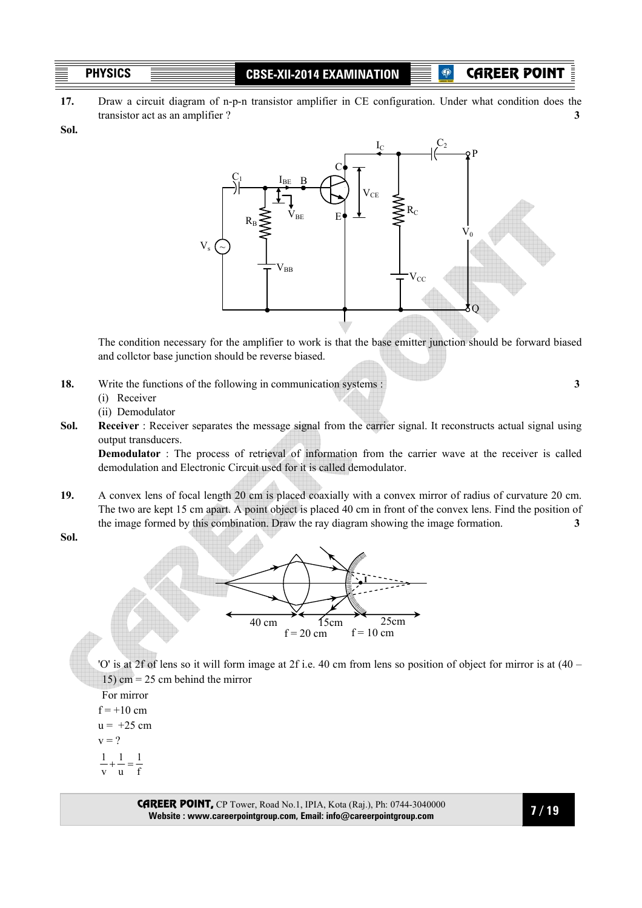CAREER POINT

**17.** Draw a circuit diagram of n-p-n transistor amplifier in CE configuration. Under what condition does the transistor act as an amplifier ? **3**

**Sol.**



The condition necessary for the amplifier to work is that the base emitter junction should be forward biased and collctor base junction should be reverse biased.

- **18.** Write the functions of the following in communication systems : **3** 
	- (i) Receiver
	- (ii) Demodulator
- **Sol. Receiver**: Receiver separates the message signal from the carrier signal. It reconstructs actual signal using output transducers.

**Demodulator** : The process of retrieval of information from the carrier wave at the receiver is called demodulation and Electronic Circuit used for it is called demodulator.

**19.** A convex lens of focal length 20 cm is placed coaxially with a convex mirror of radius of curvature 20 cm. The two are kept 15 cm apart. A point object is placed 40 cm in front of the convex lens. Find the position of the image formed by this combination. Draw the ray diagram showing the image formation. **3** 

**Sol.**



 'O' is at 2f of lens so it will form image at 2f i.e. 40 cm from lens so position of object for mirror is at (40 – 15) cm =  $25$  cm behind the mirror

For mirror

- $f = +10$  cm
- $u = +25$  cm
- $v = 2$
- 1 1  $\frac{1}{-} + \frac{1}{-} =$
- f u v

CAREER POINT, CP Tower, Road No.1, IPIA, Kota (Raj.), Ph: 0744-3040000 **Website : www.careerpointgroup.com, Email: info@careerpointgroup.com**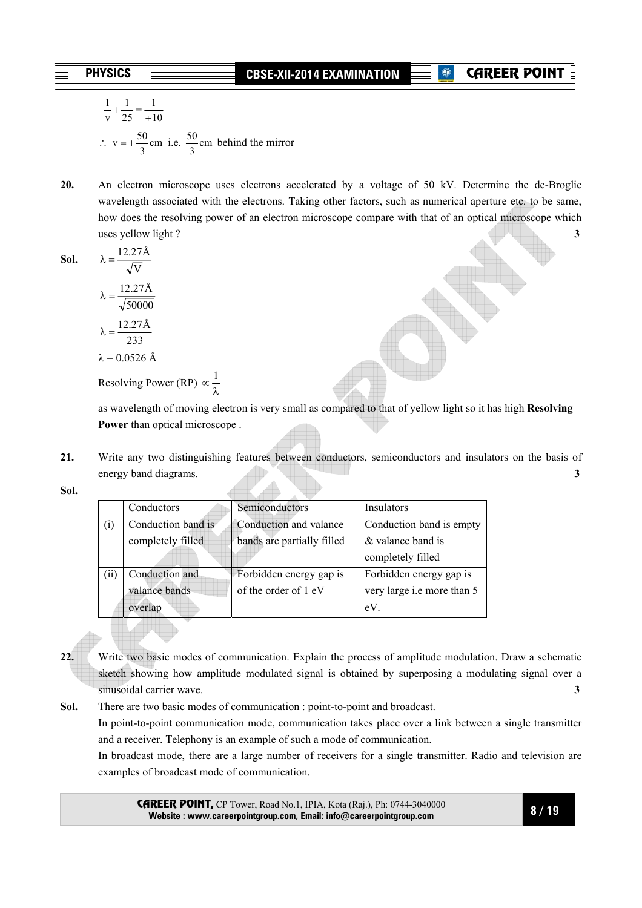# **CAREER POIN**

$$
\frac{1}{v} + \frac{1}{25} = \frac{1}{+10}
$$
  
\n
$$
\therefore v = +\frac{50}{3}
$$
cm i.e.  $\frac{50}{3}$ cm behind the mirror

**20.** An electron microscope uses electrons accelerated by a voltage of 50 kV. Determine the de-Broglie wavelength associated with the electrons. Taking other factors, such as numerical aperture etc. to be same, how does the resolving power of an electron microscope compare with that of an optical microscope which uses yellow light ? **3** 

**Sol.** 
$$
\lambda = \frac{12.27 \text{Å}}{\sqrt{\text{V}}}
$$

$$
\lambda = \frac{12.27 \text{Å}}{\sqrt{50000}}
$$

$$
\lambda = \frac{12.27 \text{Å}}{\sqrt{50000}}
$$

$$
233
$$

$$
\lambda = 0.0526 \text{ Å}
$$

Resolving Power (RP)  $\propto \frac{1}{2}$ 

as wavelength of moving electron is very small as compared to that of yellow light so it has high **Resolving Power** than optical microscope .

**21.** Write any two distinguishing features between conductors, semiconductors and insulators on the basis of energy band diagrams. **3** 

**Sol.**

|                   | Conductors         | Semiconductors             | Insulators                 |
|-------------------|--------------------|----------------------------|----------------------------|
| $_{(1)}$          | Conduction band is | Conduction and valance     | Conduction band is empty   |
|                   | completely filled  | bands are partially filled | & valance band is          |
|                   |                    |                            | completely filled          |
| $\left(11\right)$ | Conduction and     | Forbidden energy gap is    | Forbidden energy gap is    |
|                   | valance bands      | of the order of 1 eV       | very large i.e more than 5 |
|                   | overlap            |                            | eV                         |

**22.** Write two basic modes of communication. Explain the process of amplitude modulation. Draw a schematic sketch showing how amplitude modulated signal is obtained by superposing a modulating signal over a sinusoidal carrier wave. **3** 

**Sol.** There are two basic modes of communication : point-to-point and broadcast.

In point-to-point communication mode, communication takes place over a link between a single transmitter and a receiver. Telephony is an example of such a mode of communication.

 In broadcast mode, there are a large number of receivers for a single transmitter. Radio and television are examples of broadcast mode of communication.

CAREER POINT, CP Tower, Road No.1, IPIA, Kota (Raj.), Ph: 0744-3040000 **Website : www.careerpointgroup.com, Email: info@careerpointgroup.com**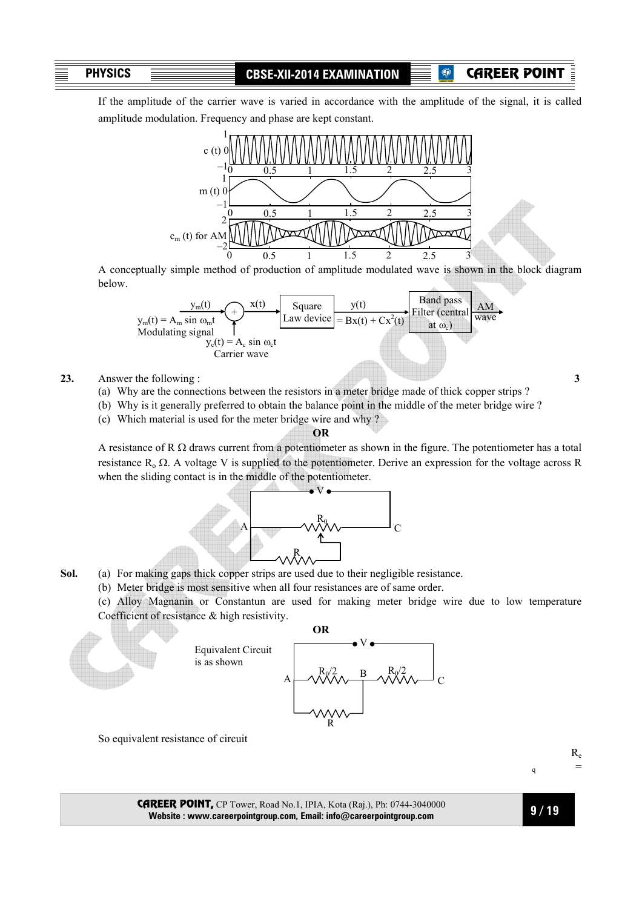**P** CAREER POINT

 If the amplitude of the carrier wave is varied in accordance with the amplitude of the signal, it is called amplitude modulation. Frequency and phase are kept constant.



 A conceptually simple method of production of amplitude modulated wave is shown in the block diagram below.



- **23.** Answer the following : **3**
	- (a) Why are the connections between the resistors in a meter bridge made of thick copper strips ?
	- (b) Why is it generally preferred to obtain the balance point in the middle of the meter bridge wire ?
	- (c) Which material is used for the meter bridge wire and why ?

#### **OR**

A resistance of R  $\Omega$  draws current from a potentiometer as shown in the figure. The potentiometer has a total resistance  $R_0 \Omega$ . A voltage V is supplied to the potentiometer. Derive an expression for the voltage across R when the sliding contact is in the middle of the potentiometer.



- **Sol.** (a) For making gaps thick copper strips are used due to their negligible resistance.
	- (b) Meter bridge is most sensitive when all four resistances are of same order.
	- (c) Alloy Magnanin or Constantun are used for making meter bridge wire due to low temperature Coefficient of resistance & high resistivity.



So equivalent resistance of circuit

 Re  $q =$ 

CAREER POINT, CP Tower, Road No.1, IPIA, Kota (Raj.), Ph: 0744-3040000 **Website : www.careerpointgroup.com, Email: info@careerpointgroup.com**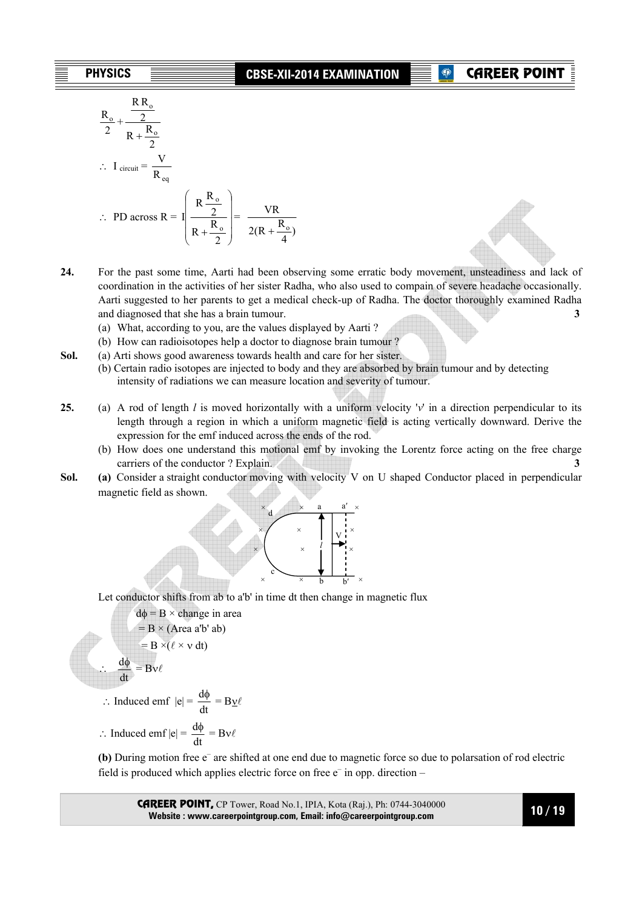# **CAREER POIN**

$$
\frac{R_{o}}{2} + \frac{\frac{R R_{o}}{2}}{R + \frac{R_{o}}{2}}
$$
  
:. I <sub>circuit</sub> =  $\frac{V}{R_{eq}}$   
:. PD across R =  $I \left(\frac{R \frac{R_{o}}{2}}{R + \frac{R_{o}}{2}}\right) = \frac{VR}{2(R + \frac{R_{o}}{4})}$ 

- **24.** For the past some time, Aarti had been observing some erratic body movement, unsteadiness and lack of coordination in the activities of her sister Radha, who also used to compain of severe headache occasionally. Aarti suggested to her parents to get a medical check-up of Radha. The doctor thoroughly examined Radha and diagnosed that she has a brain tumour. **3** 
	- (a) What, according to you, are the values displayed by Aarti ?
	- (b) How can radioisotopes help a doctor to diagnose brain tumour ?
- **Sol.** (a) Arti shows good awareness towards health and care for her sister.
	- (b) Certain radio isotopes are injected to body and they are absorbed by brain tumour and by detecting intensity of radiations we can measure location and severity of tumour.
- **25.** (a) A rod of length *l* is moved horizontally with a uniform velocity '*v*' in a direction perpendicular to its length through a region in which a uniform magnetic field is acting vertically downward. Derive the expression for the emf induced across the ends of the rod.
	- (b) How does one understand this motional emf by invoking the Lorentz force acting on the free charge carriers of the conductor ? Explain. **3**
- **Sol. (a)** Consider a straight conductor moving with velocity V on U shaped Conductor placed in perpendicular magnetic field as shown.



Let conductor shifts from ab to a'b' in time dt then change in magnetic flux

 $dφ = B × change in area$  $= B \times (Area a'b' ab)$  $= B \times (\ell \times v dt)$  $rac{d\phi}{dt} = Bv\ell$ 

∴ Induced emf  $|e| = \frac{d\phi}{dt} = B\underline{v}\ell$ 

∴

$$
\therefore \text{ Induced emf } |e| = \frac{d\phi}{dt} = Bv\ell
$$

(b) During motion free e<sup>-</sup> are shifted at one end due to magnetic force so due to polarsation of rod electric field is produced which applies electric force on free  $e^-$  in opp. direction –

CAREER POINT, CP Tower, Road No.1, IPIA, Kota (Raj.), Ph: 0744-3040000 **Website : www.careerpointgroup.com, Email: info@careerpointgroup.com**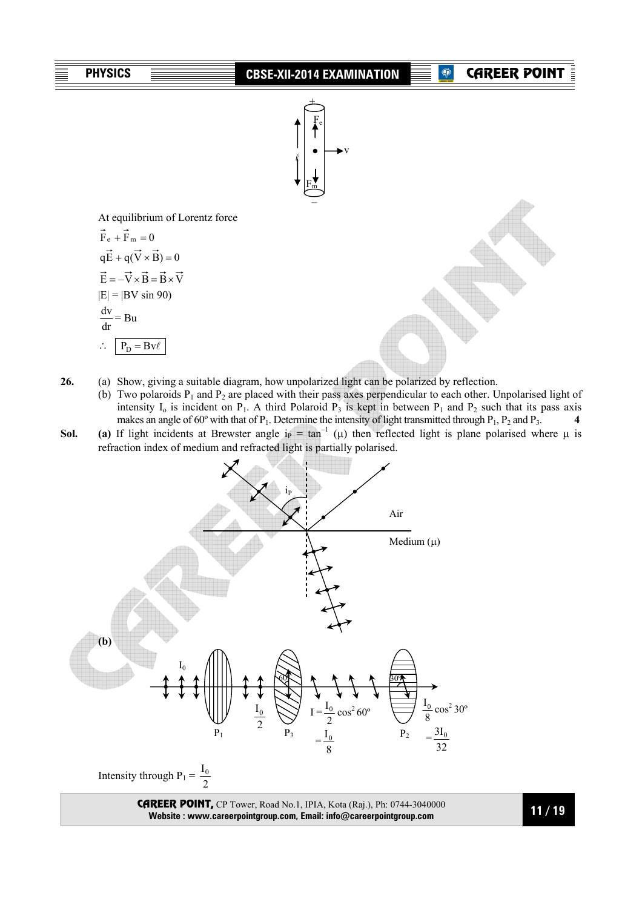

- **26.** (a) Show, giving a suitable diagram, how unpolarized light can be polarized by reflection.
	- (b) Two polaroids  $P_1$  and  $P_2$  are placed with their pass axes perpendicular to each other. Unpolarised light of intensity  $I_0$  is incident on P<sub>1</sub>. A third Polaroid P<sub>3</sub> is kept in between P<sub>1</sub> and P<sub>2</sub> such that its pass axis makes an angle of 60° with that of  $P_1$ . Determine the intensity of light transmitted through  $P_1$ ,  $P_2$  and  $P_3$ . **4**
- **Sol. (a)** If light incidents at Brewster angle  $i_P = \tan^{-1}(\mu)$  then reflected light is plane polarised where  $\mu$  is refraction index of medium and refracted light is partially polarised.



Intensity through  $P_1 = \frac{I_0}{2}$ 

CAREER POINT, CP Tower, Road No.1, IPIA, Kota (Raj.), Ph: 0744-3040000 **Website : www.careerpointgroup.com, Email: info@careerpointgroup.com**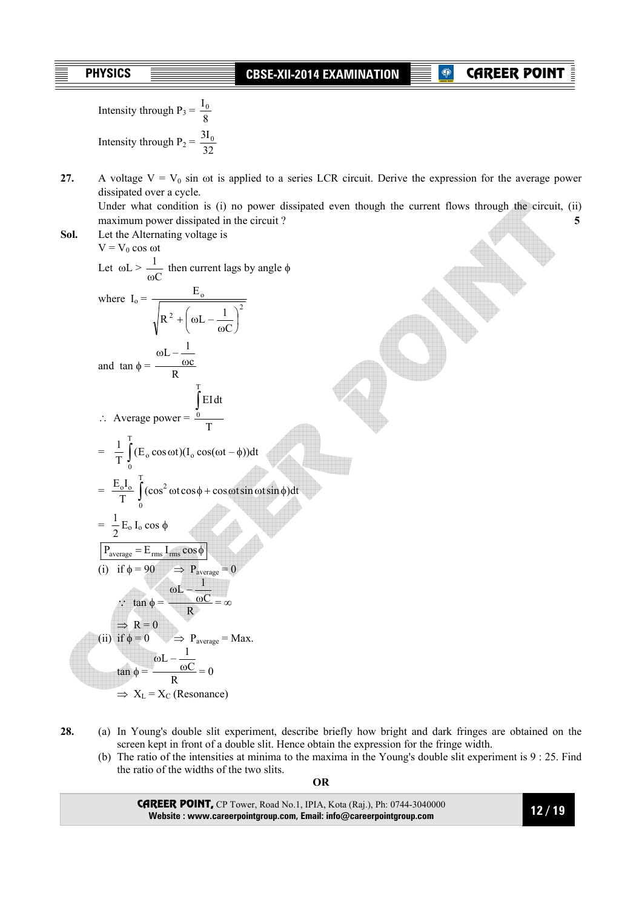Intensity through  $P_3 = \frac{I_0}{8}$ Intensity through  $P_2 = \frac{3I_0}{32}$ 

**27.** A voltage  $V = V_0$  sin  $\omega t$  is applied to a series LCR circuit. Derive the expression for the average power dissipated over a cycle.

 Under what condition is (i) no power dissipated even though the current flows through the circuit, (ii) maximum power dissipated in the circuit ? **5** 

**Sol.** Let the Alternating voltage is  $V = V_0 \cos \omega t$ Let  $\omega L >$ C 1  $\frac{1}{\omega C}$  then current lags by angle  $\phi$ where  $I_0 = \frac{2I_0}{\sqrt{R_0^2 + \left(\frac{I_0 I_0}{\rho L_0}\right)^2}}$ o  $\mathcal{C}_{0}^{(n)}$  $R^2 + \omega L - \frac{1}{2}$ E  $\overline{\phantom{a}}$ J  $\left(\omega L - \frac{1}{\epsilon}\right)$  $\setminus$ ſ ω  $+ \mid \omega$ and  $\tan \phi = \frac{\omega L - \frac{1}{\omega c}}{R}$ ∴ Average power =  $\frac{0}{T}$ EIdt T 0 ∫  $= \frac{1}{T} \int_{0}^{T} (E_0 \cos \omega t) (I_0 \cos(\omega t - \phi$ T  $\boldsymbol{0}$  $(E_0 \cos \omega t)(I_0 \cos(\omega t - \phi))dt$  $= \frac{E_0 I_0}{T} \int \limits_0^1 (\cos^2 \omega t \cos \phi + \cos \omega t \sin \omega t \sin \phi)$ T 0  $(\cos^2 \omega t \cos \phi + \cos \omega t \sin \omega t \sin \phi)dt$  $=$   $\frac{1}{2}$  E<sub>o</sub> I<sub>o</sub> cos  $\phi$  $P_{\text{average}} = E_{\text{rms}} I_{\text{rms}} \cos \phi$ (i) if  $\phi = 90$   $\implies$  P<sub>average</sub> = 0  $\therefore \tan \phi = \frac{\omega L - \frac{1}{\omega C}}{R}$  $=\infty$  $\Rightarrow$  R = 0 (ii) if  $\phi = 0$   $\implies$  P<sub>average</sub> = Max.  $an \phi = \frac{\omega L - \frac{1}{\omega C}}{R}$  $= 0$  $\Rightarrow$  X<sub>L</sub> = X<sub>C</sub> (Resonance)

- **28.** (a) In Young's double slit experiment, describe briefly how bright and dark fringes are obtained on the screen kept in front of a double slit. Hence obtain the expression for the fringe width.
	- (b) The ratio of the intensities at minima to the maxima in the Young's double slit experiment is 9 : 25. Find the ratio of the widths of the two slits.

**OR** 

CAREER POINT, CP Tower, Road No.1, IPIA, Kota (Raj.), Ph: 0744-3040000 **Website : www.careerpointgroup.com, Email: info@careerpointgroup.com**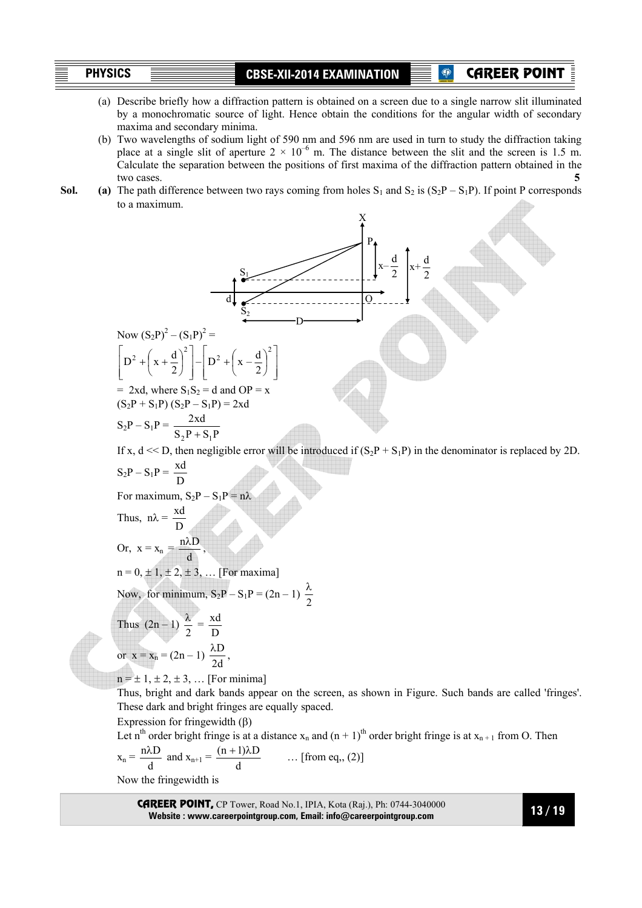CAREER POINT

- (a) Describe briefly how a diffraction pattern is obtained on a screen due to a single narrow slit illuminated by a monochromatic source of light. Hence obtain the conditions for the angular width of secondary maxima and secondary minima.
- (b) Two wavelengths of sodium light of 590 nm and 596 nm are used in turn to study the diffraction taking place at a single slit of aperture  $2 \times 10^{-6}$  m. The distance between the slit and the screen is 1.5 m. Calculate the separation between the positions of first maxima of the diffraction pattern obtained in the two cases. **5**
- **Sol. (a)** The path difference between two rays coming from holes  $S_1$  and  $S_2$  is  $(S_2P S_1P)$ . If point P corresponds to a maximum.



These dark and bright fringes are equally spaced.

Expression for fringewidth  $(\beta)$ 

Let n<sup>th</sup> order bright fringe is at a distance  $x_n$  and  $(n + 1)$ <sup>th</sup> order bright fringe is at  $x_{n+1}$  from O. Then

$$
x_n = {n\lambda D \over d}
$$
 and  $x_{n+1} = {(n+1)\lambda D \over d}$  ... [from eq., (2)]

Now the fringewidth is

CAREER POINT, CP Tower, Road No.1, IPIA, Kota (Raj.), Ph: 0744-3040000 **Website : www.careerpointgroup.com, Email: info@careerpointgroup.com**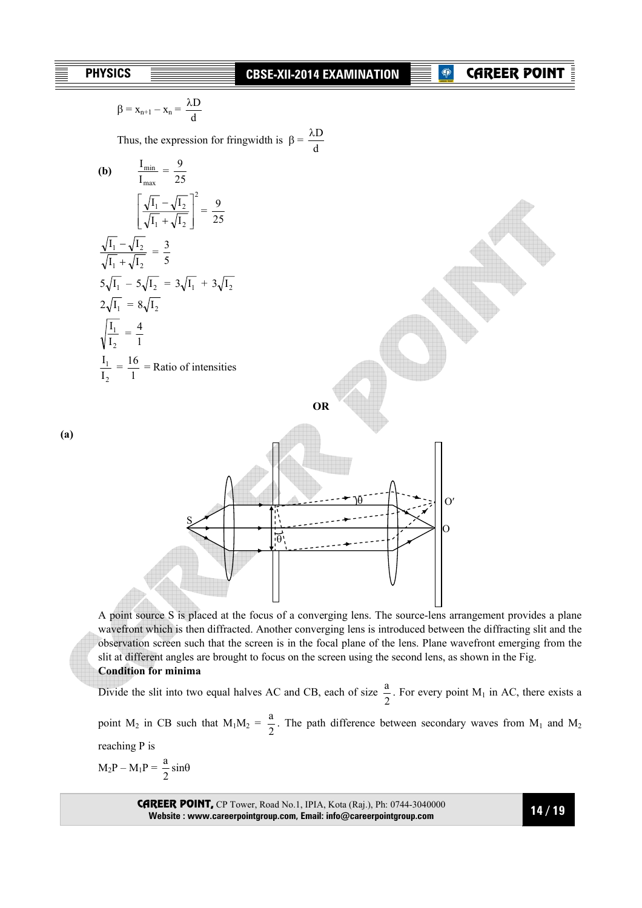**(a)** 

λD

$$
\beta = x_{n+1} - x_n = \frac{2x}{d}
$$
  
\nThus, the expression for fringwidth is  $\beta = \frac{\lambda D}{d}$   
\n(b)  $\frac{I_{min}}{I_{max}} = \frac{9}{25}$   
\n
$$
\sqrt{\frac{1}{J_1} + \sqrt{I_2}} = \frac{3}{25}
$$
  
\n
$$
\frac{\sqrt{I_1} - \sqrt{I_2}}{\sqrt{I_1} + \sqrt{I_2}} = \frac{3}{5}
$$
  
\n $5\sqrt{I_1} - 5\sqrt{I_2} = 3\sqrt{I_1} + 3\sqrt{I_2}$   
\n $2\sqrt{I_1} = 8\sqrt{I_2}$   
\n
$$
\frac{I_1}{I_2} = \frac{16}{1} = \text{Ratio of intensities}
$$
  
\n(a)

A point source S is placed at the focus of a converging lens. The source-lens arrangement provides a plane wavefront which is then diffracted. Another converging lens is introduced between the diffracting slit and the observation screen such that the screen is in the focal plane of the lens. Plane wavefront emerging from the slit at different angles are brought to focus on the screen using the second lens, as shown in the Fig. **Condition for minima** 

Divide the slit into two equal halves AC and CB, each of size  $\frac{a}{2}$ . For every point M<sub>1</sub> in AC, there exists a point M<sub>2</sub> in CB such that M<sub>1</sub>M<sub>2</sub> =  $\frac{a}{2}$ . The path difference between secondary waves from M<sub>1</sub> and M<sub>2</sub> reaching P is

 $M_2P - M_1P = \frac{a}{2}$  $\frac{a}{2}$  sin $\theta$ 

> CAREER POINT, CP Tower, Road No.1, IPIA, Kota (Raj.), Ph: 0744-3040000 **Website : www.careerpointgroup.com, Email: info@careerpointgroup.com**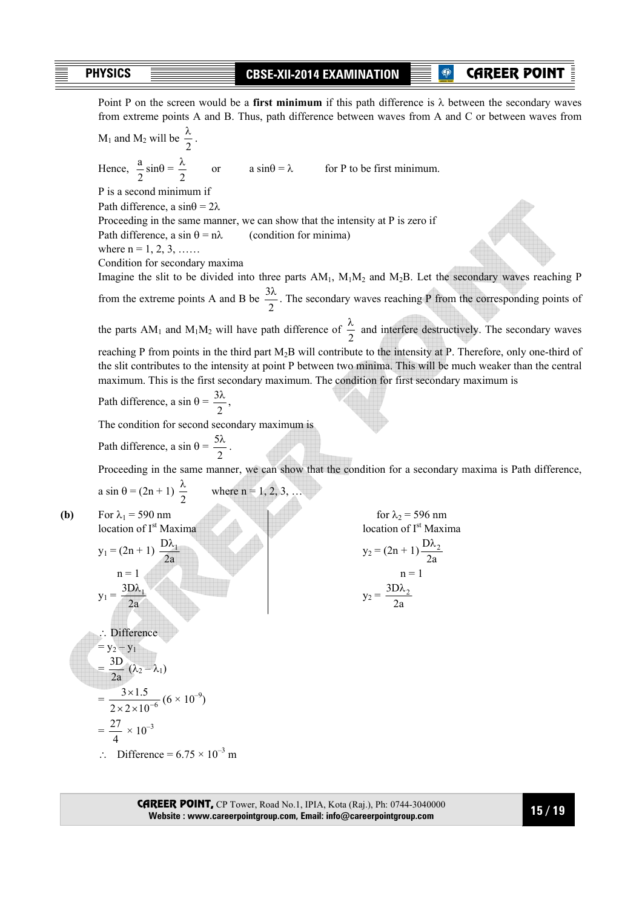CAREER POINT

Point P on the screen would be a **first minimum** if this path difference is  $\lambda$  between the secondary waves from extreme points A and B. Thus, path difference between waves from A and C or between waves from  $M_1$  and  $M_2$  will be  $\frac{\pi}{2}$  $\frac{\lambda}{2}$ .

Hence,  $\frac{a}{2} \sin \theta = \frac{\lambda}{2}$ or  $a \sin\theta = \lambda$  for P to be first minimum. P is a second minimum if Path difference, a  $sin\theta = 2\lambda$  Proceeding in the same manner, we can show that the intensity at P is zero if Path difference, a sin  $\theta = n\lambda$  (condition for minima) where  $n = 1, 2, 3, \ldots$  Condition for secondary maxima Imagine the slit to be divided into three parts  $AM_1$ ,  $M_1M_2$  and  $M_2B$ . Let the secondary waves reaching P from the extreme points A and B be  $\frac{3\lambda}{2}$ . The secondary waves reaching P from the corresponding points of the parts AM<sub>1</sub> and M<sub>1</sub>M<sub>2</sub> will have path difference of  $\frac{\lambda}{2}$  and interfere destructively. The secondary waves reaching P from points in the third part M<sub>2</sub>B will contribute to the intensity at P. Therefore, only one-third of the slit contributes to the intensity at point P between two minima. This will be much weaker than the central maximum. This is the first secondary maximum. The condition for first secondary maximum is

Path difference, a sin  $\theta = \frac{3\lambda}{2}$ ,

The condition for second secondary maximum is

Path difference, a sin  $\theta = \frac{5\lambda}{2}$ .

Proceeding in the same manner, we can show that the condition for a secondary maxima is Path difference,

a sin 
$$
\theta = (2n + 1) \frac{\lambda}{2}
$$
 where n = 1, 2, 3,

**(b)** For  $\lambda_1 = 590$  nm for  $\lambda_2 = 596$  nm  $\int$ location of I<sup>st</sup> Maxima location of Ist Maxima location of Ist Maxima location of Ist Maxima location of Ist Maxima location of Ist Maxima location of Ist Maxima location of Ist Maxima location of Ist Maxima location

 $y_1 = \frac{327}{2a}$ 

$$
y_1 = (2n + 1) \frac{D\lambda_1}{2a}
$$
  
n = 1  

$$
y_2 = (2n + 1) \frac{D\lambda_1}{n} = 1
$$

on of I<sup>st</sup> Maxima  
\n
$$
(2n + 1) \frac{D\lambda_1}{2a}
$$
\n
$$
y_2 = (2n + 1) \frac{D\lambda_2}{2a}
$$
\n
$$
y_2 = \frac{3D\lambda_2}{2a}
$$
\n
$$
y_2 = \frac{3D\lambda_2}{2a}
$$

:. Difference  
\n= 
$$
y_2 - y_1
$$
  
\n=  $\frac{3D}{2a} (\lambda_2 - \lambda_1)$   
\n=  $\frac{3 \times 1.5}{2 \times 2 \times 10^{-6}} (6 \times 10^{-9})$   
\n=  $\frac{27}{2} \times 10^{-3}$ 

$$
=\frac{27}{4} \times
$$

 $\therefore$  Difference = 6.75  $\times$  10<sup>-3</sup> m

CAREER POINT, CP Tower, Road No.1, IPIA, Kota (Raj.), Ph: 0744-3040000 **Website : www.careerpointgroup.com, Email: info@careerpointgroup.com**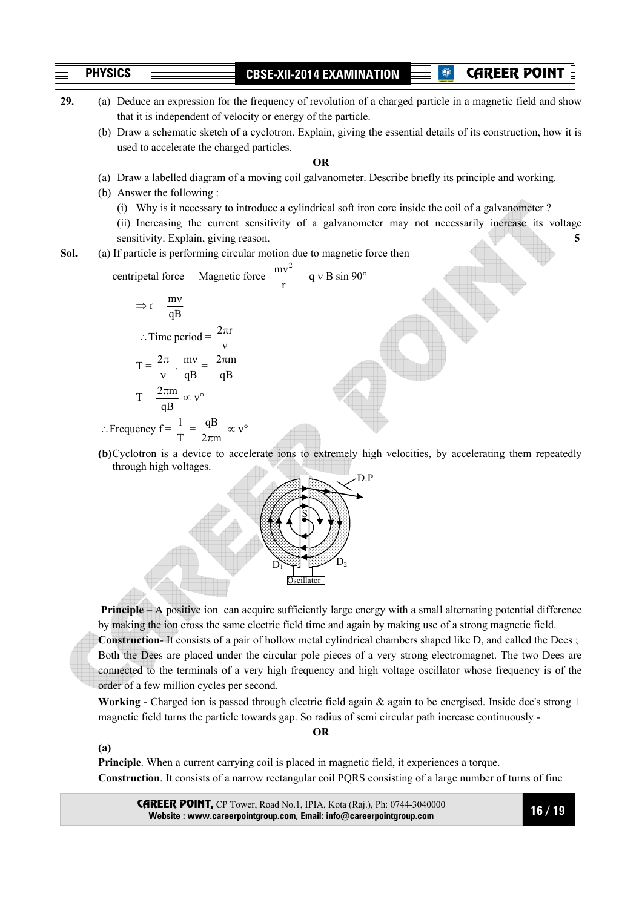CAREER POIN

- **29.** (a) Deduce an expression for the frequency of revolution of a charged particle in a magnetic field and show that it is independent of velocity or energy of the particle.
	- (b) Draw a schematic sketch of a cyclotron. Explain, giving the essential details of its construction, how it is used to accelerate the charged particles.

#### **OR**

- (a) Draw a labelled diagram of a moving coil galvanometer. Describe briefly its principle and working.
- (b) Answer the following :
	- (i) Why is it necessary to introduce a cylindrical soft iron core inside the coil of a galvanometer ?
	- (ii) Increasing the current sensitivity of a galvanometer may not necessarily increase its voltage sensitivity. Explain, giving reason. **5 5**

**Sol.** (a) If particle is performing circular motion due to magnetic force then

centripetal force = Magnetic force 
$$
\frac{mv^2}{r} = q v B \sin 90^\circ
$$

$$
\Rightarrow r = \frac{mv}{qB}
$$
  
:. Time period =  $\frac{2\pi r}{v}$   

$$
T = \frac{2\pi}{v} \cdot \frac{mv}{qB} = \frac{2\pi m}{qB}
$$
  

$$
T = \frac{2\pi m}{qB} \propto v^{\circ}
$$

∴Frequency  $f = \frac{1}{T} = \frac{qB}{2\pi m} \propto v^{\circ}$ 

**(a)**

**(b)** Cyclotron is a device to accelerate ions to extremely high velocities, by accelerating them repeatedly through high voltages.



**Principle** – A positive ion can acquire sufficiently large energy with a small alternating potential difference by making the ion cross the same electric field time and again by making use of a strong magnetic field.

**Construction**- It consists of a pair of hollow metal cylindrical chambers shaped like D, and called the Dees ; Both the Dees are placed under the circular pole pieces of a very strong electromagnet. The two Dees are connected to the terminals of a very high frequency and high voltage oscillator whose frequency is of the order of a few million cycles per second.

**Working** - Charged ion is passed through electric field again & again to be energised. Inside dee's strong ⊥ magnetic field turns the particle towards gap. So radius of semi circular path increase continuously -

**OR** 

**Principle**. When a current carrying coil is placed in magnetic field, it experiences a torque. **Construction**. It consists of a narrow rectangular coil PQRS consisting of a large number of turns of fine

CAREER POINT, CP Tower, Road No.1, IPIA, Kota (Raj.), Ph: 0744-3040000 **Website : www.careerpointgroup.com, Email: info@careerpointgroup.com**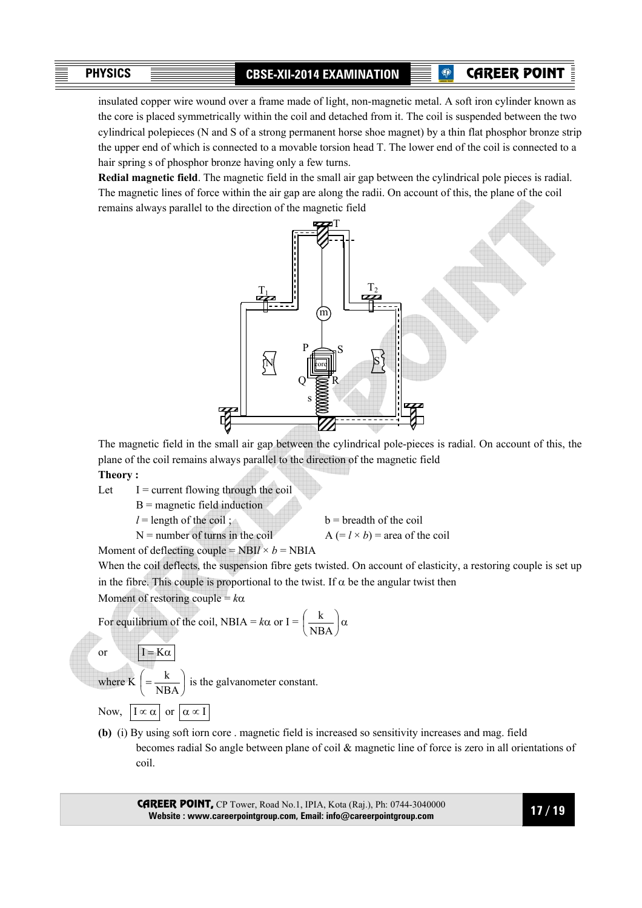CAREER POINT

insulated copper wire wound over a frame made of light, non-magnetic metal. A soft iron cylinder known as the core is placed symmetrically within the coil and detached from it. The coil is suspended between the two cylindrical polepieces (N and S of a strong permanent horse shoe magnet) by a thin flat phosphor bronze strip the upper end of which is connected to a movable torsion head T. The lower end of the coil is connected to a hair spring s of phosphor bronze having only a few turns.

**Redial magnetic field**. The magnetic field in the small air gap between the cylindrical pole pieces is radial. The magnetic lines of force within the air gap are along the radii. On account of this, the plane of the coil remains always parallel to the direction of the magnetic field



 The magnetic field in the small air gap between the cylindrical pole-pieces is radial. On account of this, the plane of the coil remains always parallel to the direction of the magnetic field

**Theory :** 

Let  $I =$  current flowing through the coil

 $B$  = magnetic field induction

 $l =$  length of the coil; b = breadth of the coil  $N =$  number of turns in the coil  $A (= l \times b) =$  area of the coil

Moment of deflecting couple =  $NBI / \times b = NBI / 4$ 

When the coil deflects, the suspension fibre gets twisted. On account of elasticity, a restoring couple is set up in the fibre. This couple is proportional to the twist. If  $\alpha$  be the angular twist then

Moment of restoring couple = *k*α

For equilibrium of the coil, NBIA = 
$$
k\alpha
$$
 or I =  $\left(\frac{k}{NBA}\right)\alpha$ 

or 
$$
I = K\alpha
$$

where K

J  $\left( = \frac{k}{\sqrt{N}} \right)$  $=\frac{R}{NBA}$ is the galvanometer constant.

Now,  $|\mathbf{I} \propto \alpha|$  or  $|\alpha \propto \mathbf{I}|$ 

l ſ

**(b)** (i) By using soft iorn core . magnetic field is increased so sensitivity increases and mag. field becomes radial So angle between plane of coil & magnetic line of force is zero in all orientations of coil.

CAREER POINT, CP Tower, Road No.1, IPIA, Kota (Raj.), Ph: 0744-3040000 **Website : www.careerpointgroup.com, Email: info@careerpointgroup.com**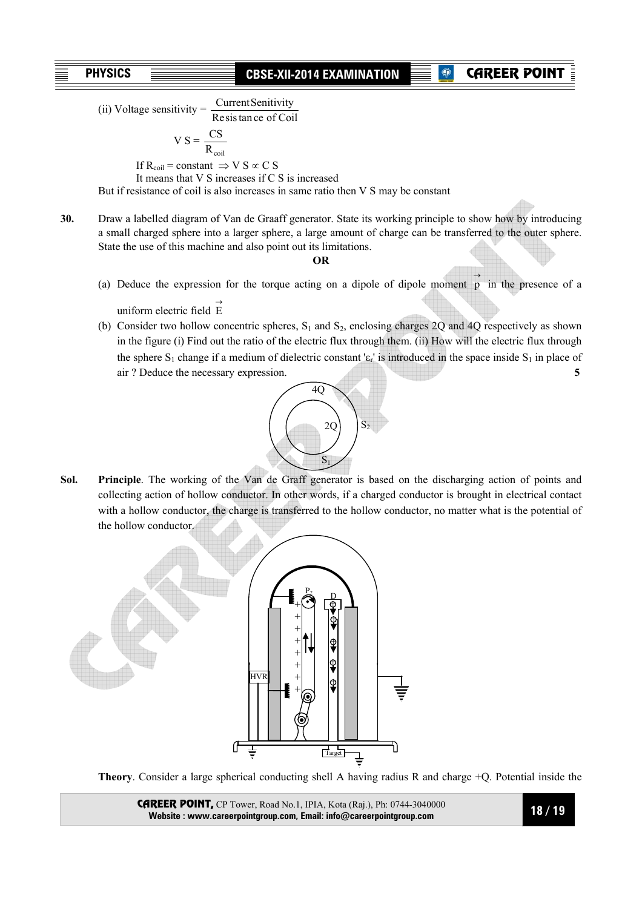# CAREER POIN

(ii) Voltage sensitivity  $=$   $\frac{\text{Current sensitivity}}{\text{Resis tan ce of }}$ Current Senitivity

$$
V S = \frac{CS}{D}
$$

 $R_{\text{coil}}$ If R<sub>coil</sub> = constant  $\Rightarrow$  V S  $\propto$  C S

It means that V S increases if C S is increased

But if resistance of coil is also increases in same ratio then V S may be constant

**30.** Draw a labelled diagram of Van de Graaff generator. State its working principle to show how by introducing a small charged sphere into a larger sphere, a large amount of charge can be transferred to the outer sphere. State the use of this machine and also point out its limitations.

#### **OR**

(a) Deduce the expression for the torque acting on a dipole of dipole moment  $\overrightarrow{p}$  in the presence of a

uniform electric field  $\overrightarrow{E}$ 

(b) Consider two hollow concentric spheres,  $S_1$  and  $S_2$ , enclosing charges 2Q and 4Q respectively as shown in the figure (i) Find out the ratio of the electric flux through them. (ii) How will the electric flux through the sphere  $S_1$  change if a medium of dielectric constant ' $\varepsilon_r$ ' is introduced in the space inside  $S_1$  in place of air ? Deduce the necessary expression. **5** 



**Sol. Principle**. The working of the Van de Graff generator is based on the discharging action of points and collecting action of hollow conductor. In other words, if a charged conductor is brought in electrical contact with a hollow conductor, the charge is transferred to the hollow conductor, no matter what is the potential of the hollow conductor.



**Theory**. Consider a large spherical conducting shell A having radius R and charge +Q. Potential inside the

CAREER POINT, CP Tower, Road No.1, IPIA, Kota (Raj.), Ph: 0744-3040000 **Website : www.careerpointgroup.com, Email: info@careerpointgroup.com**